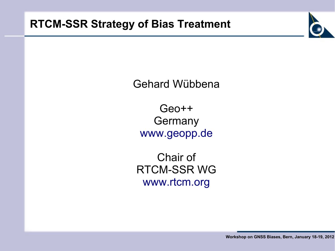

Gehard Wübbena

Geo++ **Germany** [www.geopp.de](http://www.geopp.de/)

Chair of RTCM-SSR WG [www.rtcm.org](http://www.rtcm.org/)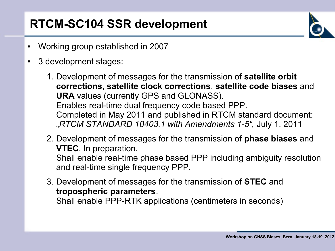# **RTCM-SC104 SSR development**

- Working group established in 2007
- 3 development stages:
	- 1. Development of messages for the transmission of **satellite orbit corrections**, **satellite clock corrections**, **satellite code biases** and **URA** values (currently GPS and GLONASS). Enables real-time dual frequency code based PPP. Completed in May 2011 and published in RTCM standard document: "*RTCM STANDARD 10403.1 with Amendments 1-5",* July 1, 2011
	- 2. Development of messages for the transmission of **phase biases** and **VTEC**. In preparation. Shall enable real-time phase based PPP including ambiguity resolution

and real-time single frequency PPP.

3. Development of messages for the transmission of **STEC** and **tropospheric parameters**. Shall enable PPP-RTK applications (centimeters in seconds)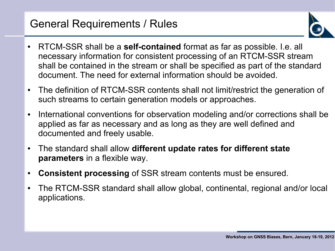#### General Requirements / Rules



- RTCM-SSR shall be a **self-contained** format as far as possible. I.e. all necessary information for consistent processing of an RTCM-SSR stream shall be contained in the stream or shall be specified as part of the standard document. The need for external information should be avoided.
- The definition of RTCM-SSR contents shall not limit/restrict the generation of such streams to certain generation models or approaches.
- International conventions for observation modeling and/or corrections shall be applied as far as necessary and as long as they are well defined and documented and freely usable.
- The standard shall allow **different update rates for different state parameters** in a flexible way.
- **Consistent processing** of SSR stream contents must be ensured.
- The RTCM-SSR standard shall allow global, continental, regional and/or local applications.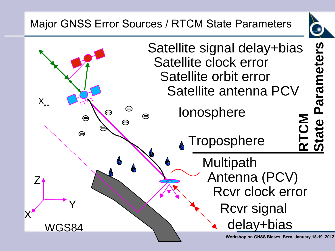## Major GNSS Error Sources / RTCM State Parameters



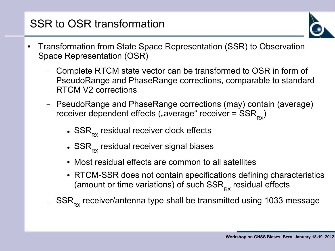## SSR to OSR transformation



- Transformation from State Space Representation (SSR) to Observation Space Representation (OSR)
	- Complete RTCM state vector can be transformed to OSR in form of PseudoRange and PhaseRange corrections, comparable to standard RTCM V2 corrections
	- PseudoRange and PhaseRange corrections (may) contain (average) receiver dependent effects ("average" receiver =  $\text{SSR}_{_{\text{RX}}}$ )
		- $\bullet$  SSR $_{\sf RX}$  residual receiver clock effects
		- $\bullet$  SSR $_{\sf RX}$  residual receiver signal biases
		- Most residual effects are common to all satellites
		- RTCM-SSR does not contain specifications defining characteristics (amount or time variations) of such  $\text{SSR}_{\text{\tiny RX}}$  residual effects
	- $\rm {SSR}_{\rm \scriptscriptstyle RX}$  receiver/antenna type shall be transmitted using 1033 message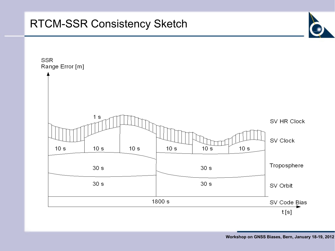#### RTCM-SSR Consistency Sketch